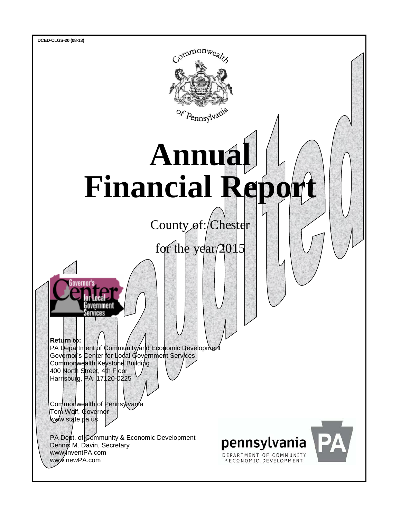

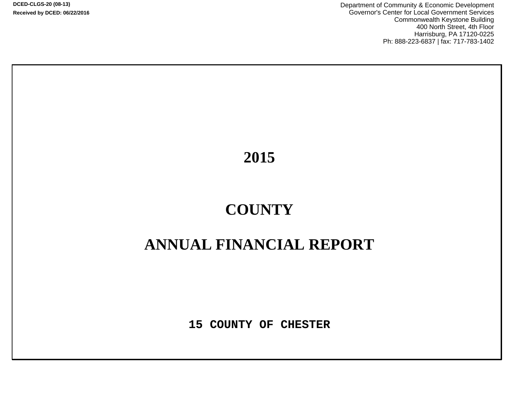**DCED-CLGS-20 (08-13) Received by DCED: 06/22/2016** Department of Community & Economic Development Governor's Center for Local Government Services Commonwealth Keystone Building 400 North Street, 4th Floor Harrisburg, PA 17120-0225 Ph: 888-223-6837 | fax: 717-783-1402

**2015**

# **COUNTY**

## **ANNUAL FINANCIAL REPORT**

**15 COUNTY OF CHESTER**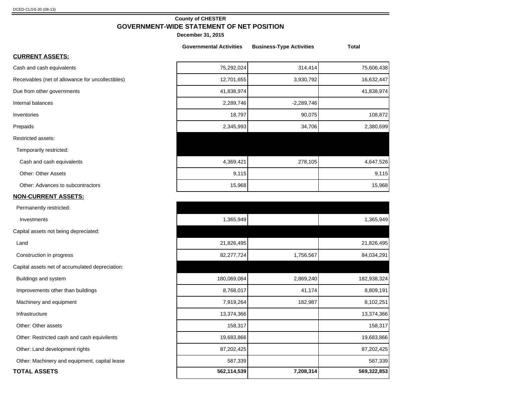## **County of CHESTER GOVERNMENT-WIDE STATEMENT OF NET POSITION**

**December 31, 2015**

|                                                   | <b>Governmental Activities</b> | <b>Business-Type Activities</b> | Total      |
|---------------------------------------------------|--------------------------------|---------------------------------|------------|
| <b>CURRENT ASSETS:</b>                            |                                |                                 |            |
| Cash and cash equivalents                         | 75,292,024                     | 314,414                         | 75,606,438 |
| Receivables (net of allowance for uncollectibles) | 12,701,655                     | 3,930,792                       | 16,632,447 |
| Due from other governments                        | 41,838,974                     |                                 | 41,838,974 |
| Internal balances                                 | 2,289,746                      | $-2,289,746$                    |            |
| Inventories                                       | 18,797                         | 90,075                          | 108,872    |
| Prepaids                                          | 2,345,993                      | 34,706                          | 2,380,699  |
| <b>Restricted assets:</b>                         |                                |                                 |            |
| Temporarily restricted:                           |                                |                                 |            |
| Cash and cash equivalents                         | 4,369,421                      | 278,105                         | 4,647,526  |
| <b>Other: Other Assets</b>                        | 9,115                          |                                 | 9,115      |
| Other: Advances to subcontractors                 | 15,968                         |                                 | 15,968     |
| <b>NON-CURRENT ASSETS:</b>                        |                                |                                 |            |

## Investments 1,365,949 1,365,949 Land 21,826,495 21,826,495 Construction in progress 82,277,724 1,756,567 84,034,291 Buildings and system 182,938,324 2,869,240 182,938,324 2,869,240 182,938,324 Improvements other than buildings and the set of the set of the set of the set of the set of the set of the set of the set of the set of the set of the set of the set of the set of the set of the set of the set of the set Machinery and equipment 8,102,251 8,102,251 8,102,251 8,102,251 8,102,251 8,102,251 Infrastructure 13,374,366 13,374,366 Other: Other assets 158,317 158,317 158,317 158,317 Other: Restricted cash and cash equivilents 19,683,866 19,683,866 19,683,866 19,683,866 19,683,866 19,683,866 19,683,866 19,683,866 19,683,866 19,683,866 19,683,866 19,683,866 19,683,866 19,683,866 19,683,866 19,683,866 19 Other: Land development rights 87,202,425 87,202,425 87,202,425 87,202,425 Other: Machinery and equipment, capital lease 587,339 587,339 587,339 **TOTAL ASSETS 562,114,539 7,208,314 569,322,853**

Permanently restricted:

Capital assets not being depreciated:

Capital assets net of accumulated depreciation: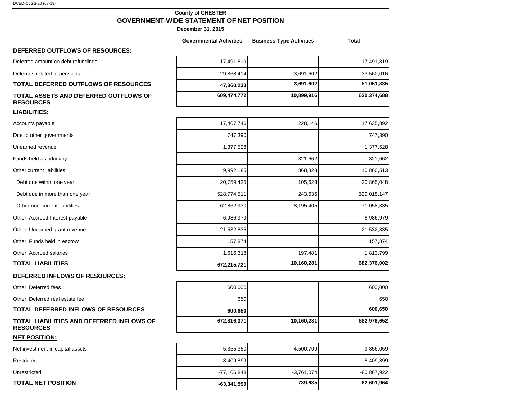## **County of CHESTER GOVERNMENT-WIDE STATEMENT OF NET POSITION**

|                                                               | <b>Governmental Activities</b> | <b>Business-Type Activities</b> | <b>Total</b>  |
|---------------------------------------------------------------|--------------------------------|---------------------------------|---------------|
| DEFERRED OUTFLOWS OF RESOURCES:                               |                                |                                 |               |
| Deferred amount on debt refundings                            | 17,491,819                     |                                 | 17,491,819    |
| Deferrals related to pensions                                 | 29,868,414                     | 3,691,602                       | 33,560,016    |
| TOTAL DEFERRED OUTFLOWS OF RESOURCES                          | 47,360,233                     | 3,691,602                       | 51,051,835    |
| TOTAL ASSETS AND DEFERRED OUTFLOWS OF<br><b>RESOURCES</b>     | 609,474,772                    | 10,899,916                      | 620,374,688   |
| <b>LIABILITIES:</b>                                           |                                |                                 |               |
| Accounts payable                                              | 17,407,746                     | 228,146                         | 17,635,892    |
| Due to other governments                                      | 747,390                        |                                 | 747,390       |
| Unearned revenue                                              | 1,377,528                      |                                 | 1,377,528     |
| Funds held as fiduciary                                       |                                | 321,662                         | 321,662       |
| Other current liabilities                                     | 9,992,185                      | 868,328                         | 10,860,513    |
| Debt due within one year                                      | 20,759,425                     | 105,623                         | 20,865,048    |
| Debt due in more than one year                                | 528,774,511                    | 243,636                         | 529,018,147   |
| Other non-current liabilities                                 | 62,862,930                     | 8,195,405                       | 71,058,335    |
| Other: Accrued Interest payable                               | 6,986,979                      |                                 | 6,986,979     |
| Other: Unearned grant revenue                                 | 21,532,835                     |                                 | 21,532,835    |
| Other: Funds held in escrow                                   | 157,874                        |                                 | 157,874       |
| Other: Accrued salaries                                       | 1,616,318                      | 197,481                         | 1,813,799     |
| <b>TOTAL LIABILITIES</b>                                      | 672,215,721                    | 10,160,281                      | 682,376,002   |
| DEFERRED INFLOWS OF RESOURCES:                                |                                |                                 |               |
| Other: Deferred fees                                          | 600,000                        |                                 | 600,000       |
| Other: Deferred real estate fee                               | 650                            |                                 | 650           |
| <b>TOTAL DEFERRED INFLOWS OF RESOURCES</b>                    | 600,650                        |                                 | 600,650       |
| TOTAL LIABILITIES AND DEFERRED INFLOWS OF<br><b>RESOURCES</b> | 672,816,371                    | 10,160,281                      | 682,976,652   |
| <b>NET POSITION:</b>                                          |                                |                                 |               |
| Net investment in capital assets                              | 5,355,350                      | 4,500,709                       | 9,856,059     |
| Restricted                                                    | 8,409,899                      |                                 | 8,409,899     |
| Unrestricted                                                  | $-77,106,848$                  | $-3,761,074$                    | -80,867,922   |
| <b>TOTAL NET POSITION</b>                                     | $-63,341,599$                  | 739,635                         | $-62,601,964$ |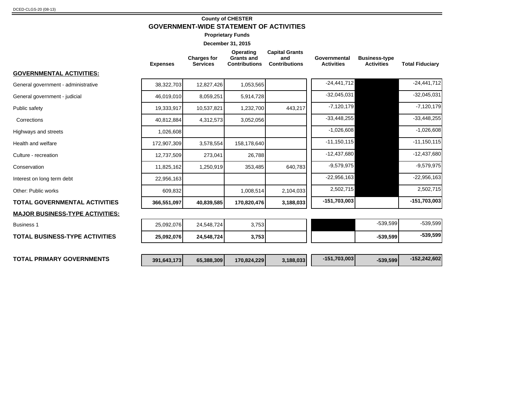## **County of CHESTER GOVERNMENT-WIDE STATEMENT OF ACTIVITIES**

**Proprietary Funds**

|                                        | <b>Expenses</b> | <b>Charges for</b><br><b>Services</b> | Operating<br><b>Grants and</b><br><b>Contributions</b> | <b>Capital Grants</b><br>and<br><b>Contributions</b> | Governmental<br><b>Activities</b> | <b>Business-type</b><br><b>Activities</b> | <b>Total Fiduciary</b> |
|----------------------------------------|-----------------|---------------------------------------|--------------------------------------------------------|------------------------------------------------------|-----------------------------------|-------------------------------------------|------------------------|
| GOVERNMENTAL ACTIVITIES:               |                 |                                       |                                                        |                                                      |                                   |                                           |                        |
| General government - administrative    | 38,322,703      | 12,827,426                            | 1,053,565                                              |                                                      | $-24,441,712$                     |                                           | $-24,441,712$          |
| General government - judicial          | 46,019,010      | 8,059,251                             | 5,914,728                                              |                                                      | $-32,045,031$                     |                                           | $-32,045,031$          |
| Public safety                          | 19,333,917      | 10,537,821                            | 1,232,700                                              | 443,217                                              | $-7,120,179$                      |                                           | $-7,120,179$           |
| Corrections                            | 40,812,884      | 4,312,573                             | 3,052,056                                              |                                                      | $-33,448,255$                     |                                           | $-33,448,255$          |
| Highways and streets                   | 1,026,608       |                                       |                                                        |                                                      | $-1,026,608$                      |                                           | $-1,026,608$           |
| Health and welfare                     | 172,907,309     | 3,578,554                             | 158,178,640                                            |                                                      | $-11,150,115$                     |                                           | $-11, 150, 115$        |
| Culture - recreation                   | 12,737,509      | 273,041                               | 26,788                                                 |                                                      | $-12,437,680$                     |                                           | $-12,437,680$          |
| Conservation                           | 11,825,162      | 1,250,919                             | 353,485                                                | 640,783                                              | $-9,579,975$                      |                                           | $-9,579,975$           |
| Interest on long term debt             | 22,956,163      |                                       |                                                        |                                                      | $-22,956,163$                     |                                           | $-22,956,163$          |
| Other: Public works                    | 609,832         |                                       | 1,008,514                                              | 2,104,033                                            | 2,502,715                         |                                           | 2,502,715              |
| <b>TOTAL GOVERNMENTAL ACTIVITIES</b>   | 366,551,097     | 40,839,585                            | 170,820,476                                            | 3,188,033                                            | $-151,703,003$                    |                                           | $-151,703,003$         |
| <b>MAJOR BUSINESS-TYPE ACTIVITIES:</b> |                 |                                       |                                                        |                                                      |                                   |                                           |                        |
| <b>Business 1</b>                      | 25,092,076      | 24,548,724                            | 3,753                                                  |                                                      |                                   | $-539,599$                                | $-539,599$             |
| <b>TOTAL BUSINESS-TYPE ACTIVITIES</b>  | 25,092,076      | 24,548,724                            | 3,753                                                  |                                                      |                                   | $-539,599$                                | $-539,599$             |
|                                        |                 |                                       |                                                        |                                                      |                                   |                                           |                        |
| <b>TOTAL PRIMARY GOVERNMENTS</b>       | 391,643,173     | 65,388,309                            | 170,824,229                                            | 3,188,033                                            | $-151,703,003$                    | $-539,599$                                | $-152,242,602$         |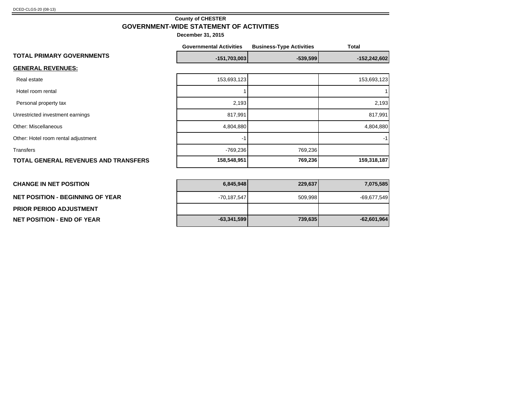**NET POSITION - BEGINNING OF YEAR** 

**PRIOR PERIOD ADJUSTMENT NET POSITION - END OF YEAR -63,341,599 739,635 -62,601,964**

## **County of CHESTER GOVERNMENT-WIDE STATEMENT OF ACTIVITIES**

|                                             | <b>Governmental Activities</b> | <b>Business-Type Activities</b> | <b>Total</b>   |
|---------------------------------------------|--------------------------------|---------------------------------|----------------|
| <b>TOTAL PRIMARY GOVERNMENTS</b>            | $-151,703,003$                 | $-539,599$                      | $-152,242,602$ |
| <b>GENERAL REVENUES:</b>                    |                                |                                 |                |
| Real estate                                 | 153,693,123                    |                                 | 153,693,123    |
| Hotel room rental                           |                                |                                 |                |
| Personal property tax                       | 2,193                          |                                 | 2,193          |
| Unrestricted investment earnings            | 817,991                        |                                 | 817,991        |
| <b>Other: Miscellaneous</b>                 | 4,804,880                      |                                 | 4,804,880      |
| Other: Hotel room rental adjustment         | -1                             |                                 | $-1$           |
| <b>Transfers</b>                            | $-769,236$                     | 769,236                         |                |
| <b>TOTAL GENERAL REVENUES AND TRANSFERS</b> | 158,548,951                    | 769,236                         | 159,318,187    |
|                                             |                                |                                 |                |
| <b>CHANGE IN NET POSITION</b>               | 6,845,948                      | 229,637                         | 7,075,585      |

| 7,075,585     | 229,637 | 6,845,948     |
|---------------|---------|---------------|
| $-69,677,549$ | 509,998 | $-70,187,547$ |
|               |         |               |
| $-62,601,964$ | 739,635 | $-63,341,599$ |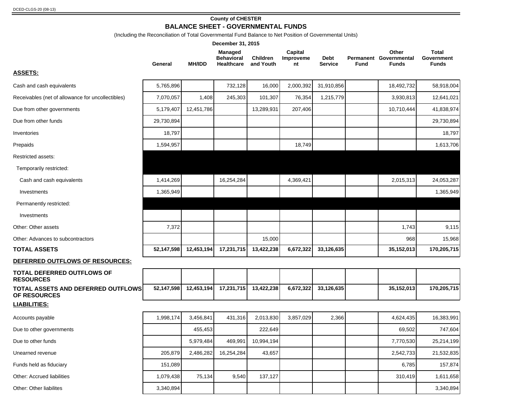## **County of CHESTER**

**BALANCE SHEET - GOVERNMENTAL FUNDS**

(Including the Reconciliation of Total Governmental Fund Balance to Net Position of Governmental Units)

|                                                           |            |               | December 31, 2015                                 |                       |                            |                               |      |                                                 |                                     |
|-----------------------------------------------------------|------------|---------------|---------------------------------------------------|-----------------------|----------------------------|-------------------------------|------|-------------------------------------------------|-------------------------------------|
|                                                           | General    | <b>MH/IDD</b> | <b>Managed</b><br><b>Behavioral</b><br>Healthcare | Children<br>and Youth | Capital<br>Improveme<br>nt | <b>Debt</b><br><b>Service</b> | Fund | Other<br>Permanent Governmental<br><b>Funds</b> | Total<br>Government<br><b>Funds</b> |
| <b>ASSETS:</b>                                            |            |               |                                                   |                       |                            |                               |      |                                                 |                                     |
| Cash and cash equivalents                                 | 5,765,896  |               | 732,128                                           | 16,000                | 2,000,392                  | 31,910,856                    |      | 18,492,732                                      | 58,918,004                          |
| Receivables (net of allowance for uncollectibles)         | 7,070,057  | 1,408         | 245,303                                           | 101,307               | 76,354                     | 1,215,779                     |      | 3,930,813                                       | 12,641,021                          |
| Due from other governments                                | 5,179,407  | 12,451,786    |                                                   | 13,289,931            | 207,406                    |                               |      | 10,710,444                                      | 41,838,974                          |
| Due from other funds                                      | 29,730,894 |               |                                                   |                       |                            |                               |      |                                                 | 29,730,894                          |
| Inventories                                               | 18,797     |               |                                                   |                       |                            |                               |      |                                                 | 18,797                              |
| Prepaids                                                  | 1,594,957  |               |                                                   |                       | 18,749                     |                               |      |                                                 | 1,613,706                           |
| Restricted assets:                                        |            |               |                                                   |                       |                            |                               |      |                                                 |                                     |
| Temporarily restricted:                                   |            |               |                                                   |                       |                            |                               |      |                                                 |                                     |
| Cash and cash equivalents                                 | 1,414,269  |               | 16,254,284                                        |                       | 4,369,421                  |                               |      | 2,015,313                                       | 24,053,287                          |
| Investments                                               | 1,365,949  |               |                                                   |                       |                            |                               |      |                                                 | 1,365,949                           |
| Permanently restricted:                                   |            |               |                                                   |                       |                            |                               |      |                                                 |                                     |
| Investments                                               |            |               |                                                   |                       |                            |                               |      |                                                 |                                     |
| Other: Other assets                                       | 7,372      |               |                                                   |                       |                            |                               |      | 1,743                                           | 9,115                               |
| Other: Advances to subcontractors                         |            |               |                                                   | 15,000                |                            |                               |      | 968                                             | 15,968                              |
| <b>TOTAL ASSETS</b>                                       | 52,147,598 | 12,453,194    | 17,231,715                                        | 13,422,238            | 6,672,322                  | 33,126,635                    |      | 35,152,013                                      | 170,205,715                         |
| DEFERRED OUTFLOWS OF RESOURCES:                           |            |               |                                                   |                       |                            |                               |      |                                                 |                                     |
| TOTAL DEFERRED OUTFLOWS OF<br><b>RESOURCES</b>            |            |               |                                                   |                       |                            |                               |      |                                                 |                                     |
| <b>TOTAL ASSETS AND DEFERRED OUTFLOWS</b><br>OF RESOURCES | 52,147,598 | 12,453,194    | 17,231,715                                        | 13,422,238            | 6,672,322                  | 33,126,635                    |      | 35,152,013                                      | 170,205,715                         |
| <u>LIABILITIES:</u>                                       |            |               |                                                   |                       |                            |                               |      |                                                 |                                     |
| Accounts payable                                          | 1,998,174  | 3,456,841     | 431,316                                           | 2,013,830             | 3,857,029                  | 2,366                         |      | 4,624,435                                       | 16,383,991                          |
| Due to other governments                                  |            | 455,453       |                                                   | 222,649               |                            |                               |      | 69,502                                          | 747,604                             |
| Due to other funds                                        |            | 5,979,484     | 469,991                                           | 10,994,194            |                            |                               |      | 7,770,530                                       | 25,214,199                          |
| Unearned revenue                                          | 205,879    | 2,486,282     | 16,254,284                                        | 43,657                |                            |                               |      | 2,542,733                                       | 21,532,835                          |
| Funds held as fiduciary                                   | 151,089    |               |                                                   |                       |                            |                               |      | 6,785                                           | 157,874                             |
| Other: Accrued liabilities                                | 1,079,438  | 75,134        | 9,540                                             | 137,127               |                            |                               |      | 310,419                                         | 1,611,658                           |
| Other: Other liabilites                                   | 3,340,894  |               |                                                   |                       |                            |                               |      |                                                 | 3,340,894                           |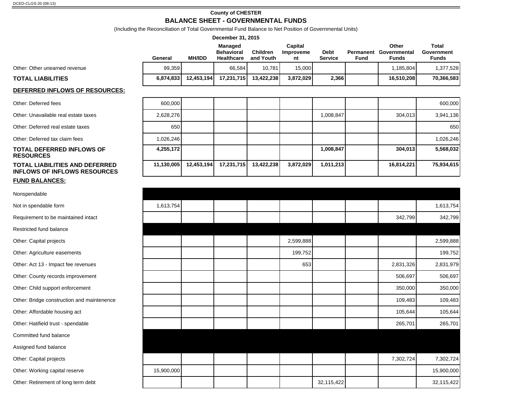#### **County of CHESTER**

## **BALANCE SHEET - GOVERNMENTAL FUNDS**

(Including the Reconciliation of Total Governmental Fund Balance to Net Position of Governmental Units)

|                                       |           |               | December 31, 2015                                 |                              |                            |                               |                   |                                       |                                     |
|---------------------------------------|-----------|---------------|---------------------------------------------------|------------------------------|----------------------------|-------------------------------|-------------------|---------------------------------------|-------------------------------------|
|                                       | General   | <b>MH/IDD</b> | <b>Managed</b><br><b>Behavioral</b><br>Healthcare | <b>Children</b><br>and Youth | Capital<br>Improveme<br>nt | <b>Debt</b><br><b>Service</b> | Permanent<br>Fund | Other<br>Governmental<br><b>Funds</b> | Total<br>Government<br><b>Funds</b> |
| Other: Other unearned revenue         | 99,359    |               | 66.584                                            | 10.781                       | 15.000                     |                               |                   | 1,185,804                             | 1,377,528                           |
| TOTAL LIABILITIES                     | 6,874,833 | 12,453,194    | 17.231.715                                        | 13.422.238                   | 3,872,029                  | 2,366                         |                   | 16.510.208                            | 70,366,583                          |
| <b>DEFERRED INFLOWS OF RESOURCES:</b> |           |               |                                                   |                              |                            |                               |                   |                                       |                                     |

| Other: Deferred fees |  |  |  |
|----------------------|--|--|--|
|----------------------|--|--|--|

| Other: Unavailable real estate taxes |  |  |
|--------------------------------------|--|--|
|--------------------------------------|--|--|

#### **TOTAL DEFERRED INFLOWS OF RESOURCES TOTAL LIABILITIES AND DEFERRED INFLOWS OF INFLOWS RESOURCES**

#### **FUND BALANCES:**

Nonspendable

Not in spendable form

Requirement to be maintained intact

Restricted fund balance

Other: Capital projects

Other: Agriculture easements

Other: Act 13 - Impact fee revenues

Other: County records improvement

Other: Child support enforcement

Other: Bridge construction and maintenence

Other: Affordable housing act

Other: Hatifield trust - spendable

Committed fund balance

Assigned fund balance

Other: Capital projects

Other: Working capital reserve

Other: Retirement of long term debt

| TOTAL LIABILITIES                                                     | 0.874.833  | 12,453,194 | 17.231.7151 | 13,422,2381 | 3,872,029 | Z.300 I   | 10,310,2081 | 70,300,383 |
|-----------------------------------------------------------------------|------------|------------|-------------|-------------|-----------|-----------|-------------|------------|
| <u>DEFERRED INFLOWS OF RESOURCES:</u>                                 |            |            |             |             |           |           |             |            |
| Other: Deferred fees                                                  | 600.000    |            |             |             |           |           |             | 600,000    |
| Other: Unavailable real estate taxes                                  | 2.628.276  |            |             |             |           | 1.008.847 | 304,013     | 3,941,136  |
| Other: Deferred real estate taxes                                     | 650        |            |             |             |           |           |             | 650        |
| Other: Deferred tax claim fees                                        | 1.026.246  |            |             |             |           |           |             | 1,026,246  |
| <b>TOTAL DEFERRED INFLOWS OF</b><br><b>RESOURCES</b>                  | 4,255,172  |            |             |             |           | 1,008,847 | 304,013     | 5,568,032  |
| TOTAL LIABILITIES AND DEFERRED<br><b>INFLOWS OF INFLOWS RESOURCES</b> | 11,130,005 | 12,453,194 | 17,231,715  | 13,422,238  | 3,872,029 | 1,011,213 | 16,814,221  | 75,934,615 |

| 1,613,754  |  |           |            |           | 1,613,754  |
|------------|--|-----------|------------|-----------|------------|
|            |  |           |            | 342,799   | 342,799    |
|            |  |           |            |           |            |
|            |  | 2,599,888 |            |           | 2,599,888  |
|            |  | 199,752   |            |           | 199,752    |
|            |  | 653       |            | 2,831,326 | 2,831,979  |
|            |  |           |            | 506,697   | 506,697    |
|            |  |           |            | 350,000   | 350,000    |
|            |  |           |            | 109,483   | 109,483    |
|            |  |           |            | 105,644   | 105,644    |
|            |  |           |            | 265,701   | 265,701    |
|            |  |           |            |           |            |
|            |  |           |            |           |            |
|            |  |           |            | 7,302,724 | 7,302,724  |
| 15,900,000 |  |           |            |           | 15,900,000 |
|            |  |           | 32,115,422 |           | 32,115,422 |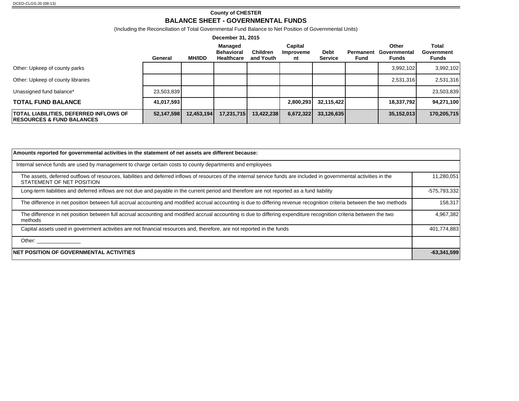## **County of CHESTER**

## **BALANCE SHEET - GOVERNMENTAL FUNDS**

(Including the Reconciliation of Total Governmental Fund Balance to Net Position of Governmental Units)

|                                                                                        | General    | <b>MH/IDD</b> | Managed<br><b>Behavioral</b><br><b>Healthcare</b> | <b>Children</b><br>and Youth | Capital<br>Improveme<br>nt | <b>Debt</b><br><b>Service</b> | Permanent<br>Fund | Other<br>Governmental<br>Funds | Total<br>Government<br>Funds |
|----------------------------------------------------------------------------------------|------------|---------------|---------------------------------------------------|------------------------------|----------------------------|-------------------------------|-------------------|--------------------------------|------------------------------|
| Other: Upkeep of county parks                                                          |            |               |                                                   |                              |                            |                               |                   | 3,992,102                      | 3,992,102                    |
| Other: Upkeep of county libraries                                                      |            |               |                                                   |                              |                            |                               |                   | 2,531,316                      | 2,531,316                    |
| Unassigned fund balance*                                                               | 23,503,839 |               |                                                   |                              |                            |                               |                   |                                | 23,503,839                   |
| <b>TOTAL FUND BALANCE</b>                                                              | 41,017,593 |               |                                                   |                              | 2,800,293                  | 32,115,422                    |                   | 18,337,792                     | 94,271,100                   |
| <b>TOTAL LIABILITIES, DEFERRED INFLOWS OF</b><br><b>IRESOURCES &amp; FUND BALANCES</b> | 52,147,598 | 12,453,194    | 17,231,715                                        | 13,422,238                   | 6,672,322                  | 33,126,635                    |                   | 35,152,013                     | 170,205,715                  |

| Amounts reported for governmental activities in the statement of net assets are different because:                                                                                                  |               |
|-----------------------------------------------------------------------------------------------------------------------------------------------------------------------------------------------------|---------------|
| Internal service funds are used by management to charge certain costs to county departments and employees                                                                                           |               |
| The assets, deferred outflows of resources, liabilities and deferred inflows of resources of the internal service funds are included in governmental activities in the<br>STATEMENT OF NET POSITION | 11,280,051    |
| Long-term liabilities and deferred inflows are not due and payable in the current period and therefore are not reported as a fund liability                                                         | -575,793,332  |
| The difference in net position between full accrual accounting and modified accrual accounting is due to differing revenue recognition criteria between the two methods                             | 158,317       |
| The difference in net position between full accrual accounting and modified accrual accounting is due to differing expenditure recognition criteria between the two<br>methods                      | 4,967,382     |
| Capital assets used in government activities are not financial resources and, therefore, are not reported in the funds                                                                              | 401,774,883   |
| Other: _________________                                                                                                                                                                            |               |
| <b>NET POSITION OF GOVERNMENTAL ACTIVITIES</b>                                                                                                                                                      | $-63,341,599$ |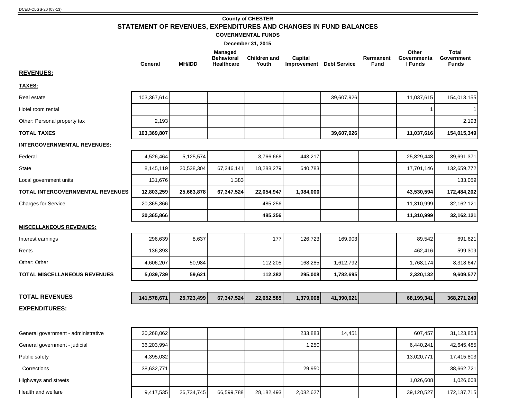## **County of CHESTER STATEMENT OF REVENUES, EXPENDITURES AND CHANGES IN FUND BALANCES**

#### **GOVERNMENTAL FUNDS**

**December 31, 2015**

|                                         | General     | <b>MH/IDD</b> | <b>Managed</b><br><b>Behavioral</b><br><b>Healthcare</b> | <b>Children and</b><br>Youth | Capital<br><b>Improvement</b> Debt Service |            | Rermanent<br><b>Fund</b> | Other<br>Governmenta<br>I Funds | <b>Total</b><br>Government<br><b>Funds</b> |
|-----------------------------------------|-------------|---------------|----------------------------------------------------------|------------------------------|--------------------------------------------|------------|--------------------------|---------------------------------|--------------------------------------------|
| <b>REVENUES:</b>                        |             |               |                                                          |                              |                                            |            |                          |                                 |                                            |
| <b>TAXES:</b>                           |             |               |                                                          |                              |                                            |            |                          |                                 |                                            |
| Real estate                             | 103,367,614 |               |                                                          |                              |                                            | 39,607,926 |                          | 11,037,615                      | 154,013,155                                |
| Hotel room rental                       |             |               |                                                          |                              |                                            |            |                          |                                 |                                            |
| Other: Personal property tax            | 2,193       |               |                                                          |                              |                                            |            |                          |                                 | 2,193                                      |
| <b>TOTAL TAXES</b>                      | 103,369,807 |               |                                                          |                              |                                            | 39,607,926 |                          | 11,037,616                      | 154,015,349                                |
| <b>INTERGOVERNMENTAL REVENUES:</b>      |             |               |                                                          |                              |                                            |            |                          |                                 |                                            |
| Federal                                 | 4,526,464   | 5,125,574     |                                                          | 3,766,668                    | 443,217                                    |            |                          | 25,829,448                      | 39,691,371                                 |
| State                                   | 8,145,119   | 20,538,304    | 67,346,141                                               | 18,288,279                   | 640,783                                    |            |                          | 17,701,146                      | 132,659,772                                |
| Local government units                  | 131,676     |               | 1,383                                                    |                              |                                            |            |                          |                                 | 133,059                                    |
| <b>TOTAL INTERGOVERNMENTAL REVENUES</b> | 12,803,259  | 25,663,878    | 67,347,524                                               | 22,054,947                   | 1,084,000                                  |            |                          | 43,530,594                      | 172,484,202                                |
| <b>Charges for Service</b>              | 20,365,866  |               |                                                          | 485,256                      |                                            |            |                          | 11,310,999                      | 32,162,121                                 |
|                                         | 20,365,866  |               |                                                          | 485,256                      |                                            |            |                          | 11,310,999                      | 32,162,121                                 |
| <b>MISCELLANEOUS REVENUES:</b>          |             |               |                                                          |                              |                                            |            |                          |                                 |                                            |
| Interest earnings                       | 296,639     | 8,637         |                                                          | 177                          | 126,723                                    | 169,903    |                          | 89,542                          | 691,621                                    |
| Rents                                   | 136,893     |               |                                                          |                              |                                            |            |                          | 462,416                         | 599,309                                    |
| Other: Other                            | 4,606,207   | 50,984        |                                                          | 112,205                      | 168,285                                    | 1,612,792  |                          | 1,768,174                       | 8,318,647                                  |
| <b>TOTAL MISCELLANEOUS REVENUES</b>     | 5.039.739   | 59,621        |                                                          | 112,382                      | 295,008                                    | 1,782,695  |                          | 2,320,132                       | 9,609,577                                  |
|                                         |             |               |                                                          |                              |                                            |            |                          |                                 |                                            |
| <b>TOTAL REVENUES</b>                   | 141,578,671 | 25,723,499    | 67,347,524                                               | 22,652,585                   | 1,379,008                                  | 41,390,621 |                          | 68,199,341                      | 368,271,249                                |
| <b>EXPENDITURES:</b>                    |             |               |                                                          |                              |                                            |            |                          |                                 |                                            |
|                                         |             |               |                                                          |                              |                                            |            |                          |                                 |                                            |
| General government - administrative     | 30,268,062  |               |                                                          |                              | 233,883                                    | 14,451     |                          | 607,457                         | 31,123,853                                 |
| General government - judicial           | 36,203,994  |               |                                                          |                              | 1,250                                      |            |                          | 6,440,241                       | 42,645,485                                 |
| Public safety                           | 4,395,032   |               |                                                          |                              |                                            |            |                          | 13,020,771                      | 17,415,803                                 |
| Corrections                             | 38,632,771  |               |                                                          |                              | 29,950                                     |            |                          |                                 | 38,662,721                                 |

Highways and streets **1,026,608** 1,026,608 1,026,608 1,026,608 1,026,608 1,026,608 1,026,608 1,026,608 1,026,608 1,026

Health and welfare | 9,417,535 26,734,745 66,599,788 28,182,493 2,082,627 172,137,715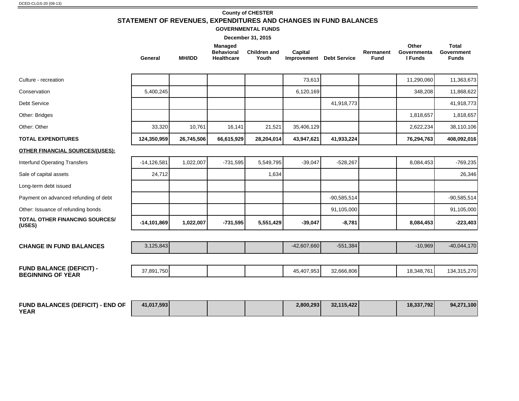## **County of CHESTER STATEMENT OF REVENUES, EXPENDITURES AND CHANGES IN FUND BALANCES**

**GOVERNMENTAL FUNDS**

|                                                             | General         | <b>MH/IDD</b> | <b>Managed</b><br><b>Behavioral</b><br><b>Healthcare</b> | <b>Children and</b><br>Youth | Capital<br><b>Improvement</b> Debt Service |               | Rermanent<br><b>Fund</b> | Other<br>Governmenta<br>I Funds | <b>Total</b><br>Government<br><b>Funds</b> |
|-------------------------------------------------------------|-----------------|---------------|----------------------------------------------------------|------------------------------|--------------------------------------------|---------------|--------------------------|---------------------------------|--------------------------------------------|
| Culture - recreation                                        |                 |               |                                                          |                              | 73,613                                     |               |                          | 11,290,060                      | 11,363,673                                 |
| Conservation                                                | 5,400,245       |               |                                                          |                              | 6,120,169                                  |               |                          | 348,208                         | 11,868,622                                 |
| <b>Debt Service</b>                                         |                 |               |                                                          |                              |                                            | 41,918,773    |                          |                                 | 41,918,773                                 |
| Other: Bridges                                              |                 |               |                                                          |                              |                                            |               |                          | 1,818,657                       | 1,818,657                                  |
| Other: Other                                                | 33,320          | 10,761        | 16,141                                                   | 21,521                       | 35,406,129                                 |               |                          | 2,622,234                       | 38,110,106                                 |
| <b>TOTAL EXPENDITURES</b>                                   | 124,350,959     | 26,745,506    | 66,615,929                                               | 28,204,014                   | 43,947,621                                 | 41,933,224    |                          | 76,294,763                      | 408,092,016                                |
| <b>OTHER FINANCIAL SOURCES/(USES):</b>                      |                 |               |                                                          |                              |                                            |               |                          |                                 |                                            |
| <b>Interfund Operating Transfers</b>                        | $-14, 126, 581$ | 1,022,007     | $-731,595$                                               | 5,549,795                    | $-39,047$                                  | $-528,267$    |                          | 8,084,453                       | $-769,235$                                 |
| Sale of capital assets                                      | 24,712          |               |                                                          | 1,634                        |                                            |               |                          |                                 | 26,346                                     |
| Long-term debt issued                                       |                 |               |                                                          |                              |                                            |               |                          |                                 |                                            |
| Payment on advanced refunding of debt                       |                 |               |                                                          |                              |                                            | $-90,585,514$ |                          |                                 | $-90,585,514$                              |
| Other: Issuance of refunding bonds                          |                 |               |                                                          |                              |                                            | 91,105,000    |                          |                                 | 91,105,000                                 |
| <b>TOTAL OTHER FINANCING SOURCES/</b><br>(USES)             | $-14,101,869$   | 1,022,007     | $-731,595$                                               | 5,551,429                    | $-39,047$                                  | $-8,781$      |                          | 8,084,453                       | $-223,403$                                 |
| <b>CHANGE IN FUND BALANCES</b>                              | 3,125,843       |               |                                                          |                              | $-42,607,660$                              | $-551,384$    |                          | $-10,969$                       | $-40,044,170$                              |
|                                                             |                 |               |                                                          |                              |                                            |               |                          |                                 |                                            |
| <b>FUND BALANCE (DEFICIT) -</b><br><b>BEGINNING OF YEAR</b> | 37,891,750      |               |                                                          |                              | 45,407,953                                 | 32,666,806    |                          | 18,348,761                      | 134,315,270                                |
|                                                             |                 |               |                                                          |                              |                                            |               |                          |                                 |                                            |

| <b>FUND BALANCES (DEFICIT) - END OF</b> | 41.017.593 |  | 2.800.293 | 32.115.422 | 18.337.792 | 94,271,100 |
|-----------------------------------------|------------|--|-----------|------------|------------|------------|
| <b>YEAR</b>                             |            |  |           |            |            |            |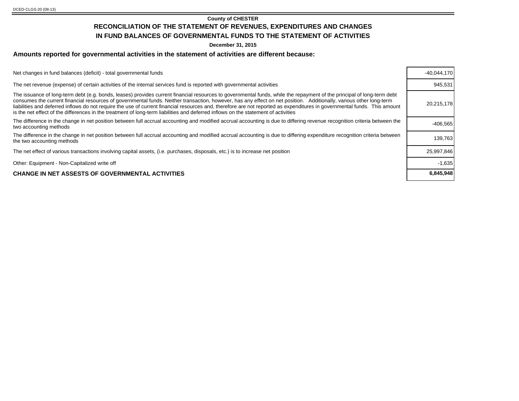## **County of CHESTER RECONCILIATION OF THE STATEMENT OF REVENUES, EXPENDITURES AND CHANGES IN FUND BALANCES OF GOVERNMENTAL FUNDS TO THE STATEMENT OF ACTIVITIES**

**December 31, 2015**

## **Amounts reported for governmental activities in the statement of activities are different because:**

| Net changes in fund balances (deficit) - total governmental funds                                                                                                                                                                                                                                                                                                                                                                                                                                                                                                                                                                                                | $-40,044,170$ |
|------------------------------------------------------------------------------------------------------------------------------------------------------------------------------------------------------------------------------------------------------------------------------------------------------------------------------------------------------------------------------------------------------------------------------------------------------------------------------------------------------------------------------------------------------------------------------------------------------------------------------------------------------------------|---------------|
| The net revenue (expense) of certain activities of the internal services fund is reported with governmental activities                                                                                                                                                                                                                                                                                                                                                                                                                                                                                                                                           | 945,531       |
| The issuance of long-term debt (e.g. bonds, leases) provides current financial resources to governmental funds, while the repayment of the principal of long-term debt<br>consumes the current financial resources of governmental funds. Neither transaction, however, has any effect on net position. Additionally, various other long-term<br>liabilities and deferred inflows do not require the use of current financial resources and, therefore are not reported as expenditures in governmental funds. This amount<br>is the net effect of the differences in the treatment of long-term liabilities and deferred inflows on the statement of activities | 20,215,178    |
| The difference in the change in net position between full accrual accounting and modified accrual accounting is due to differing revenue recognition criteria between the<br>two accounting methods                                                                                                                                                                                                                                                                                                                                                                                                                                                              | $-406,565$    |
| The difference in the change in net position between full accrual accounting and modified accrual accounting is due to differing expenditure recognition criteria between<br>the two accounting methods                                                                                                                                                                                                                                                                                                                                                                                                                                                          | 139,763       |
| The net effect of various transactions involving capital assets, (i.e. purchases, disposals, etc.) is to increase net position                                                                                                                                                                                                                                                                                                                                                                                                                                                                                                                                   | 25,997,846    |
| Other: Equipment - Non-Capitalized write off                                                                                                                                                                                                                                                                                                                                                                                                                                                                                                                                                                                                                     | $-1,635$      |
| <b>CHANGE IN NET ASSESTS OF GOVERNMENTAL ACTIVITIES</b>                                                                                                                                                                                                                                                                                                                                                                                                                                                                                                                                                                                                          | 6,845,948     |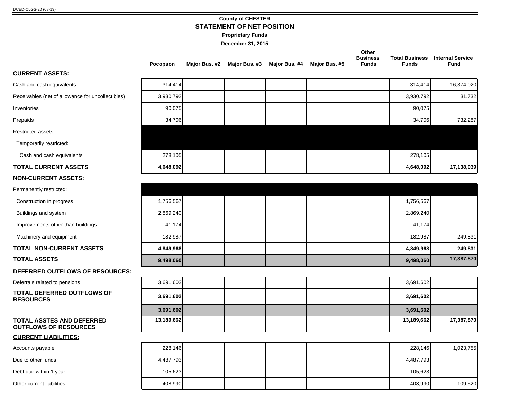## **County of CHESTER STATEMENT OF NET POSITION**

**Proprietary Funds**

|                                                                  | Pocopson   | Major Bus. #2 Major Bus. #3 Major Bus. #4 | Major Bus. #5 | Other<br><b>Business</b><br><b>Funds</b> | <b>Funds</b> | <b>Total Business</b> Internal Service<br><b>Fund</b> |
|------------------------------------------------------------------|------------|-------------------------------------------|---------------|------------------------------------------|--------------|-------------------------------------------------------|
| <b>CURRENT ASSETS:</b>                                           |            |                                           |               |                                          |              |                                                       |
| Cash and cash equivalents                                        | 314,414    |                                           |               |                                          | 314,414      | 16,374,020                                            |
| Receivables (net of allowance for uncollectibles)                | 3,930,792  |                                           |               |                                          | 3,930,792    | 31,732                                                |
| Inventories                                                      | 90,075     |                                           |               |                                          | 90,075       |                                                       |
| Prepaids                                                         | 34,706     |                                           |               |                                          | 34,706       | 732,287                                               |
| Restricted assets:                                               |            |                                           |               |                                          |              |                                                       |
| Temporarily restricted:                                          |            |                                           |               |                                          |              |                                                       |
| Cash and cash equivalents                                        | 278,105    |                                           |               |                                          | 278,105      |                                                       |
| <b>TOTAL CURRENT ASSETS</b>                                      | 4,648,092  |                                           |               |                                          | 4,648,092    | 17,138,039                                            |
| <b>NON-CURRENT ASSETS:</b>                                       |            |                                           |               |                                          |              |                                                       |
| Permanently restricted:                                          |            |                                           |               |                                          |              |                                                       |
| Construction in progress                                         | 1,756,567  |                                           |               |                                          | 1,756,567    |                                                       |
| Buildings and system                                             | 2,869,240  |                                           |               |                                          | 2,869,240    |                                                       |
| Improvements other than buildings                                | 41,174     |                                           |               |                                          | 41,174       |                                                       |
| Machinery and equipment                                          | 182,987    |                                           |               |                                          | 182,987      | 249,831                                               |
| <b>TOTAL NON-CURRENT ASSETS</b>                                  | 4,849,968  |                                           |               |                                          | 4,849,968    | 249,831                                               |
| <b>TOTAL ASSETS</b>                                              | 9,498,060  |                                           |               |                                          | 9,498,060    | 17,387,870                                            |
| DEFERRED OUTFLOWS OF RESOURCES:                                  |            |                                           |               |                                          |              |                                                       |
| Deferrals related to pensions                                    | 3,691,602  |                                           |               |                                          | 3,691,602    |                                                       |
| <b>TOTAL DEFERRED OUTFLOWS OF</b><br><b>RESOURCES</b>            | 3,691,602  |                                           |               |                                          | 3,691,602    |                                                       |
|                                                                  | 3,691,602  |                                           |               |                                          | 3,691,602    |                                                       |
| <b>TOTAL ASSTES AND DEFERRED</b><br><b>OUTFLOWS OF RESOURCES</b> | 13,189,662 |                                           |               |                                          | 13,189,662   | 17,387,870                                            |
| <b>CURRENT LIABILITIES:</b>                                      |            |                                           |               |                                          |              |                                                       |
| Accounts payable                                                 | 228,146    |                                           |               |                                          | 228,146      | 1,023,755                                             |
| Due to other funds                                               | 4,487,793  |                                           |               |                                          | 4,487,793    |                                                       |
| Debt due within 1 year                                           | 105,623    |                                           |               |                                          | 105,623      |                                                       |
| Other current liabilities                                        | 408,990    |                                           |               |                                          | 408,990      | 109,520                                               |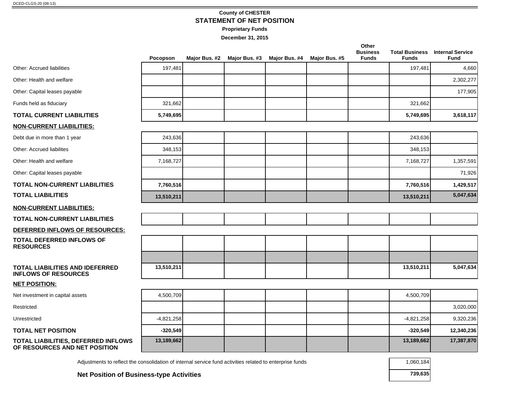## **County of CHESTER STATEMENT OF NET POSITION**

**Proprietary Funds**

**December 31, 2015**

|                                                                      | Pocopson     | Major Bus. #2 | Major Bus. #3 | Major Bus. #4 | Major Bus. #5 | Other<br><b>Business</b><br><b>Funds</b> | <b>Funds</b> | <b>Total Business</b> Internal Service<br>Fund |
|----------------------------------------------------------------------|--------------|---------------|---------------|---------------|---------------|------------------------------------------|--------------|------------------------------------------------|
| Other: Accrued liabilities                                           | 197,481      |               |               |               |               |                                          | 197,481      | 4,660                                          |
| Other: Health and welfare                                            |              |               |               |               |               |                                          |              | 2,302,277                                      |
| Other: Capital leases payable                                        |              |               |               |               |               |                                          |              | 177,905                                        |
| Funds held as fiduciary                                              | 321,662      |               |               |               |               |                                          | 321,662      |                                                |
| TOTAL CURRENT LIABILITIES                                            | 5,749,695    |               |               |               |               |                                          | 5,749,695    | 3,618,117                                      |
| NON-CURRENT LIABILITIES:                                             |              |               |               |               |               |                                          |              |                                                |
| Debt due in more than 1 year                                         | 243,636      |               |               |               |               |                                          | 243,636      |                                                |
| Other: Accrued liabilites                                            | 348,153      |               |               |               |               |                                          | 348,153      |                                                |
| Other: Health and welfare                                            | 7,168,727    |               |               |               |               |                                          | 7,168,727    | 1,357,591                                      |
| Other: Capital leases payable                                        |              |               |               |               |               |                                          |              | 71,926                                         |
| TOTAL NON-CURRENT LIABILITIES                                        | 7,760,516    |               |               |               |               |                                          | 7,760,516    | 1,429,517                                      |
| <b>TOTAL LIABILITIES</b>                                             | 13,510,211   |               |               |               |               |                                          | 13,510,211   | 5,047,634                                      |
| <u>NON-CURRENT LIABILITIES:</u>                                      |              |               |               |               |               |                                          |              |                                                |
| TOTAL NON-CURRENT LIABILITIES                                        |              |               |               |               |               |                                          |              |                                                |
| DEFERRED INFLOWS OF RESOURCES:                                       |              |               |               |               |               |                                          |              |                                                |
| TOTAL DEFERRED INFLOWS OF<br><b>RESOURCES</b>                        |              |               |               |               |               |                                          |              |                                                |
| TOTAL LIABILITIES AND IDEFERRED<br><b>INFLOWS OF RESOURCES</b>       | 13,510,211   |               |               |               |               |                                          | 13,510,211   | 5,047,634                                      |
| <b>NET POSITION:</b>                                                 |              |               |               |               |               |                                          |              |                                                |
| Net investment in capital assets                                     | 4,500,709    |               |               |               |               |                                          | 4,500,709    |                                                |
| Restricted                                                           |              |               |               |               |               |                                          |              | 3,020,000                                      |
| Unrestricted                                                         | $-4,821,258$ |               |               |               |               |                                          | $-4,821,258$ | 9,320,236                                      |
| <b>TOTAL NET POSITION</b>                                            | $-320,549$   |               |               |               |               |                                          | $-320,549$   | 12,340,236                                     |
| TOTAL LIABILITIES, DEFERRED INFLOWS<br>OF RESOURCES AND NET POSITION | 13,189,662   |               |               |               |               |                                          | 13,189,662   | 17,387,870                                     |

Adjustments to reflect the consolidation of internal service fund activities related to enterprise funds 1,060,184

**Net Position of Business-type Activities 739,635**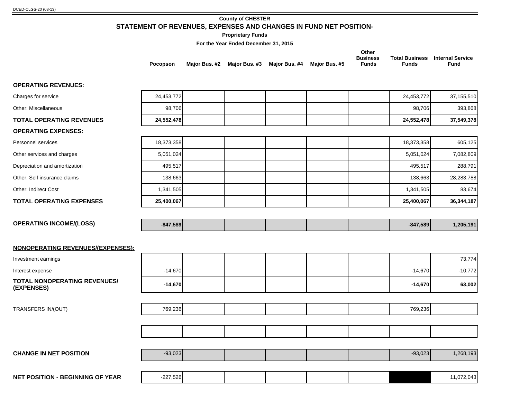## **County of CHESTER STATEMENT OF REVENUES, EXPENSES AND CHANGES IN FUND NET POSITION-**

**Proprietary Funds**

**For the Year Ended December 31, 2015**

| For the Year Ended December 31, 2015              |            |               |  |                             |               |                                          |                                       |                                        |
|---------------------------------------------------|------------|---------------|--|-----------------------------|---------------|------------------------------------------|---------------------------------------|----------------------------------------|
|                                                   | Pocopson   | Major Bus. #2 |  | Major Bus. #3 Major Bus. #4 | Major Bus. #5 | Other<br><b>Business</b><br><b>Funds</b> | <b>Total Business</b><br><b>Funds</b> | <b>Internal Service</b><br><b>Fund</b> |
| <b>OPERATING REVENUES:</b>                        |            |               |  |                             |               |                                          |                                       |                                        |
| Charges for service                               | 24,453,772 |               |  |                             |               |                                          | 24,453,772                            | 37,155,510                             |
| Other: Miscellaneous                              | 98,706     |               |  |                             |               |                                          | 98,706                                | 393,868                                |
| <b>TOTAL OPERATING REVENUES</b>                   | 24,552,478 |               |  |                             |               |                                          | 24,552,478                            | 37,549,378                             |
| <b>OPERATING EXPENSES:</b>                        |            |               |  |                             |               |                                          |                                       |                                        |
| Personnel services                                | 18,373,358 |               |  |                             |               |                                          | 18,373,358                            | 605,125                                |
| Other services and charges                        | 5,051,024  |               |  |                             |               |                                          | 5,051,024                             | 7,082,809                              |
| Depreciation and amortization                     | 495,517    |               |  |                             |               |                                          | 495,517                               | 288,791                                |
| Other: Self insurance claims                      | 138,663    |               |  |                             |               |                                          | 138,663                               | 28,283,788                             |
| Other: Indirect Cost                              | 1,341,505  |               |  |                             |               |                                          | 1,341,505                             | 83,674                                 |
| <b>TOTAL OPERATING EXPENSES</b>                   | 25,400,067 |               |  |                             |               |                                          | 25,400,067                            | 36,344,187                             |
| <b>OPERATING INCOME/(LOSS)</b>                    | $-847,589$ |               |  |                             |               |                                          | $-847,589$                            | 1,205,191                              |
| <b>NONOPERATING REVENUES/(EXPENSES):</b>          |            |               |  |                             |               |                                          |                                       |                                        |
| Investment earnings                               |            |               |  |                             |               |                                          |                                       | 73,774                                 |
| Interest expense                                  | $-14,670$  |               |  |                             |               |                                          | $-14,670$                             | $-10,772$                              |
| <b>TOTAL NONOPERATING REVENUES/</b><br>(EXPENSES) | $-14,670$  |               |  |                             |               |                                          | $-14,670$                             | 63,002                                 |
|                                                   |            |               |  |                             |               |                                          |                                       |                                        |
| TRANSFERS IN/(OUT)                                | 769,236    |               |  |                             |               |                                          | 769,236                               |                                        |
|                                                   |            |               |  |                             |               |                                          |                                       |                                        |

| <b>CHANGE IN NET POSITION</b>           | $-93,023$  |  |  | $-93,023$ | 1,268,193  |
|-----------------------------------------|------------|--|--|-----------|------------|
|                                         |            |  |  |           |            |
| <b>NET POSITION - BEGINNING OF YEAR</b> | $-227,526$ |  |  |           | 11,072,043 |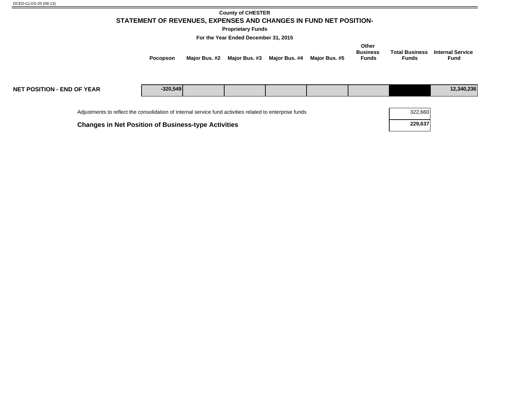## **County of CHESTER STATEMENT OF REVENUES, EXPENSES AND CHANGES IN FUND NET POSITION-**

**Proprietary Funds**

**For the Year Ended December 31, 2015**

| <b>Pocopson</b> | Major Bus. #2 | Major Bus. #3 | Major Bus. #4 | Major Bus. #5 | Other<br><b>Business</b><br><b>Funds</b> | <b>Total Business</b><br><b>Funds</b> | <b>Internal Service</b><br>Fund |  |
|-----------------|---------------|---------------|---------------|---------------|------------------------------------------|---------------------------------------|---------------------------------|--|
|                 |               |               |               |               |                                          |                                       |                                 |  |

| <b>NET POSITION - END OF YEAR</b>                                                                        | $-320.549$ |  |  |  |  | 12,340,236 |
|----------------------------------------------------------------------------------------------------------|------------|--|--|--|--|------------|
|                                                                                                          |            |  |  |  |  |            |
| Adjustments to reflect the consolidation of internal service fund activities related to enterprise funds | 322,660    |  |  |  |  |            |
| <b>Changes in Net Position of Business-type Activities</b>                                               | 229,637    |  |  |  |  |            |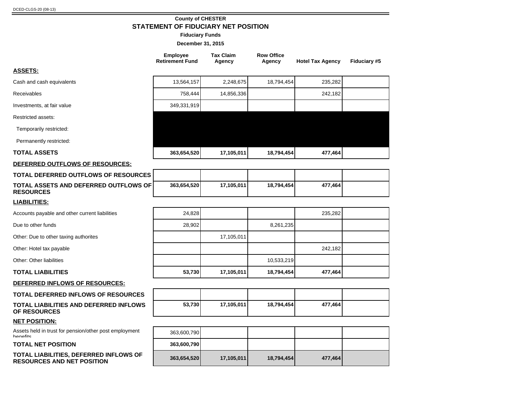## **County of CHESTER STATEMENT OF FIDUCIARY NET POSITION**

**Fiduciary Funds**

|                                                                             | <b>Employee</b><br><b>Retirement Fund</b> | <b>Tax Claim</b><br>Agency | <b>Row Office</b><br>Agency | <b>Hotel Tax Agency</b> | Fiduciary #5 |
|-----------------------------------------------------------------------------|-------------------------------------------|----------------------------|-----------------------------|-------------------------|--------------|
| <b>ASSETS:</b>                                                              |                                           |                            |                             |                         |              |
| Cash and cash equivalents                                                   | 13,564,157                                | 2,248,675                  | 18,794,454                  | 235,282                 |              |
| Receivables                                                                 | 758,444                                   | 14,856,336                 |                             | 242,182                 |              |
| Investments, at fair value                                                  | 349,331,919                               |                            |                             |                         |              |
| <b>Restricted assets:</b>                                                   |                                           |                            |                             |                         |              |
| Temporarily restricted:                                                     |                                           |                            |                             |                         |              |
| Permanently restricted:                                                     |                                           |                            |                             |                         |              |
| <b>TOTAL ASSETS</b>                                                         | 363,654,520                               | 17,105,011                 | 18,794,454                  | 477,464                 |              |
| DEFERRED OUTFLOWS OF RESOURCES:                                             |                                           |                            |                             |                         |              |
| TOTAL DEFERRED OUTFLOWS OF RESOURCES                                        |                                           |                            |                             |                         |              |
| TOTAL ASSETS AND DEFERRED OUTFLOWS OF<br><b>RESOURCES</b>                   | 363,654,520                               | 17,105,011                 | 18,794,454                  | 477,464                 |              |
| <b>LIABILITIES:</b>                                                         |                                           |                            |                             |                         |              |
| Accounts payable and other current liabilities                              | 24,828                                    |                            |                             | 235,282                 |              |
| Due to other funds                                                          | 28,902                                    |                            | 8,261,235                   |                         |              |
| Other: Due to other taxing authorites                                       |                                           | 17,105,011                 |                             |                         |              |
| Other: Hotel tax payable                                                    |                                           |                            |                             | 242,182                 |              |
| Other: Other liabilities                                                    |                                           |                            | 10,533,219                  |                         |              |
| <b>TOTAL LIABILITIES</b>                                                    | 53,730                                    | 17,105,011                 | 18,794,454                  | 477,464                 |              |
| DEFERRED INFLOWS OF RESOURCES:                                              |                                           |                            |                             |                         |              |
| <b>TOTAL DEFERRED INFLOWS OF RESOURCES</b>                                  |                                           |                            |                             |                         |              |
| TOTAL LIABILITIES AND DEFERRED INFLOWS<br>OF RESOURCES                      | 53,730                                    | 17,105,011                 | 18,794,454                  | 477,464                 |              |
| <b>NET POSITION:</b>                                                        |                                           |                            |                             |                         |              |
| Assets held in trust for pension/other post employment<br>hanafite          | 363,600,790                               |                            |                             |                         |              |
| <b>TOTAL NET POSITION</b>                                                   | 363,600,790                               |                            |                             |                         |              |
| TOTAL LIABILITIES, DEFERRED INFLOWS OF<br><b>RESOURCES AND NET POSITION</b> | 363,654,520                               | 17,105,011                 | 18,794,454                  | 477,464                 |              |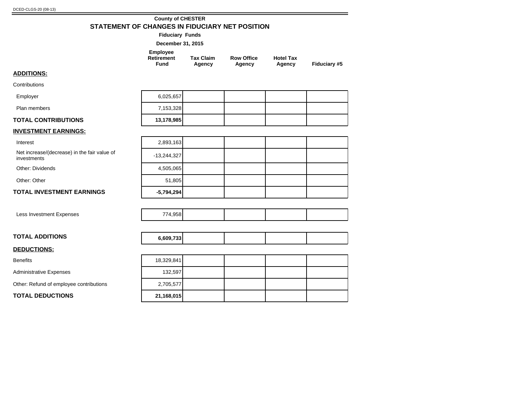### **County of CHESTER STATEMENT OF CHANGES IN FIDUCIARY NET POSITION**

**Fiduciary Funds**

| December 31, 2015 |  |  |
|-------------------|--|--|
|-------------------|--|--|

| Employee<br>Retirement | <b>Tax Claim</b> | <b>Row Office</b> | <b>Hotel Tax</b> |              |
|------------------------|------------------|-------------------|------------------|--------------|
| Fund                   | Agency           | Agency            | Agency           | Fiduciary #5 |

## **ADDITIONS:**

**Contributions** Employer

| Employer                   | 6,025,657  |  |  |
|----------------------------|------------|--|--|
| Plan members               | 7,153,328  |  |  |
| <b>TOTAL CONTRIBUTIONS</b> | 13,178,985 |  |  |

## **INVESTMENT EARNINGS:**

Interest

Net increase/(decrease) in the fair value of **Finance 13,244,327**<br>investments

Other: Dividends

Other: Other

### **TOTAL INVESTMENT EARNINGS -5,794,294**

Less Investment Expenses

| <b>TOTAL ADDITIONS</b> | 6,609,733 |  |
|------------------------|-----------|--|
| <b>DEDUCTIONS:</b>     |           |  |

Benefits

Administrative Expenses

Other: Refund of employee contributions

**TOTAL DEDUCTIONS 21,168,015**

| 2,893,163     |  |  |
|---------------|--|--|
| $-13,244,327$ |  |  |
| 4,505,065     |  |  |
| 51,805        |  |  |
| $-5,794,294$  |  |  |

| $  -$ |  |  |
|-------|--|--|
|       |  |  |



| 21,168,015 |  |  |
|------------|--|--|
| 2,705,577  |  |  |
| 132,597    |  |  |
| 18,329,841 |  |  |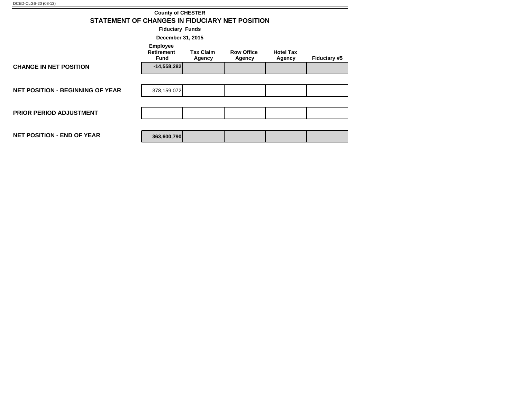| STATEMENT OF CHANGES IN FIDUCIARY NET POSITION | <b>County of CHESTER</b>                            |                            |                             |                            |              |  |  |  |  |
|------------------------------------------------|-----------------------------------------------------|----------------------------|-----------------------------|----------------------------|--------------|--|--|--|--|
| <b>Fiduciary Funds</b>                         |                                                     |                            |                             |                            |              |  |  |  |  |
| December 31, 2015                              |                                                     |                            |                             |                            |              |  |  |  |  |
|                                                | <b>Employee</b><br><b>Retirement</b><br><b>Fund</b> | <b>Tax Claim</b><br>Agency | <b>Row Office</b><br>Agency | <b>Hotel Tax</b><br>Agency | Fiduciary #5 |  |  |  |  |
| <b>CHANGE IN NET POSITION</b>                  | $-14,558,282$                                       |                            |                             |                            |              |  |  |  |  |
|                                                |                                                     |                            |                             |                            |              |  |  |  |  |
| <b>NET POSITION - BEGINNING OF YEAR</b>        | 378,159,072                                         |                            |                             |                            |              |  |  |  |  |
|                                                |                                                     |                            |                             |                            |              |  |  |  |  |
| PRIOR PERIOD ADJUSTMENT                        |                                                     |                            |                             |                            |              |  |  |  |  |
|                                                |                                                     |                            |                             |                            |              |  |  |  |  |
| <b>NET POSITION - END OF YEAR</b>              | 363,600,790                                         |                            |                             |                            |              |  |  |  |  |
|                                                |                                                     |                            |                             |                            |              |  |  |  |  |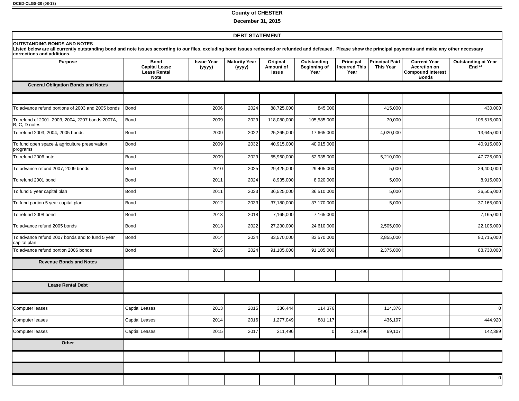### **County of CHESTER**

**December 31, 2015**

#### **DEBT STATEMENT**

#### **OUTSTANDING BONDS AND NOTES**

Listed below are all currently outstanding bond and note issues according to our files, excluding bond issues redeemed or refunded and defeased. Please show the principal payments and make any other necessary<br>corrections

| <b>Purpose</b>                                                    | <b>Bond</b><br><b>Capital Lease</b><br><b>Lease Rental</b><br><b>Note</b> | <b>Issue Year</b><br>(yyyy) | <b>Maturity Year</b><br>(уууу) | Original<br>Amount of<br>Issue | Outstanding<br><b>Beginning of</b><br>Year | Principal<br><b>Incurred This</b><br>Year | <b>Principal Paid</b><br><b>This Year</b> | <b>Current Year</b><br><b>Accretion on</b><br><b>Compound Interest</b><br><b>Bonds</b> | <b>Outstanding at Year</b><br>$End**$ |
|-------------------------------------------------------------------|---------------------------------------------------------------------------|-----------------------------|--------------------------------|--------------------------------|--------------------------------------------|-------------------------------------------|-------------------------------------------|----------------------------------------------------------------------------------------|---------------------------------------|
| <b>General Obligation Bonds and Notes</b>                         |                                                                           |                             |                                |                                |                                            |                                           |                                           |                                                                                        |                                       |
|                                                                   |                                                                           |                             |                                |                                |                                            |                                           |                                           |                                                                                        |                                       |
| To advance refund portions of 2003 and 2005 bonds                 | Bond                                                                      | 2006                        | 2024                           | 88,725,000                     | 845,000                                    |                                           | 415,000                                   |                                                                                        | 430,000                               |
| To refund of 2001, 2003, 2004, 2207 bonds 2007A,<br>B, C, D notes | Bond                                                                      | 2009                        | 2029                           | 118,080,000                    | 105,585,000                                |                                           | 70,000                                    |                                                                                        | 105,515,000                           |
| To refund 2003, 2004, 2005 bonds                                  | Bond                                                                      | 2009                        | 2022                           | 25,265,000                     | 17,665,000                                 |                                           | 4,020,000                                 |                                                                                        | 13,645,000                            |
| To fund open space & agriculture preservation<br>programs         | Bond                                                                      | 2009                        | 2032                           | 40,915,000                     | 40,915,000                                 |                                           |                                           |                                                                                        | 40,915,000                            |
| To refund 2006 note                                               | Bond                                                                      | 2009                        | 2029                           | 55,960,000                     | 52,935,000                                 |                                           | 5,210,000                                 |                                                                                        | 47,725,000                            |
| To advance refund 2007, 2009 bonds                                | Bond                                                                      | 2010                        | 2025                           | 29,425,000                     | 29,405,000                                 |                                           | 5,000                                     |                                                                                        | 29,400,000                            |
| To refund 2001 bond                                               | Bond                                                                      | 2011                        | 2024                           | 8,935,000                      | 8,920,000                                  |                                           | 5,000                                     |                                                                                        | 8,915,000                             |
| To fund 5 year capital plan                                       | Bond                                                                      | 2011                        | 2033                           | 36,525,000                     | 36,510,000                                 |                                           | 5,000                                     |                                                                                        | 36,505,000                            |
| To fund portion 5 year capital plan                               | Bond                                                                      | 2012                        | 2033                           | 37,180,000                     | 37,170,000                                 |                                           | 5,000                                     |                                                                                        | 37,165,000                            |
| To refund 2008 bond                                               | Bond                                                                      | 2013                        | 2018                           | 7,165,000                      | 7,165,000                                  |                                           |                                           |                                                                                        | 7,165,000                             |
| To advance refund 2005 bonds                                      | Bond                                                                      | 2013                        | 2022                           | 27,230,000                     | 24,610,000                                 |                                           | 2,505,000                                 |                                                                                        | 22,105,000                            |
| To advance refund 2007 bonds and to fund 5 year<br>capital plan   | Bond                                                                      | 2014                        | 2034                           | 83,570,000                     | 83,570,000                                 |                                           | 2,855,000                                 |                                                                                        | 80,715,000                            |
| To advance refund portion 2006 bonds                              | Bond                                                                      | 2015                        | 2024                           | 91,105,000                     | 91,105,000                                 |                                           | 2,375,000                                 |                                                                                        | 88,730,000                            |
| <b>Revenue Bonds and Notes</b>                                    |                                                                           |                             |                                |                                |                                            |                                           |                                           |                                                                                        |                                       |
|                                                                   |                                                                           |                             |                                |                                |                                            |                                           |                                           |                                                                                        |                                       |
| <b>Lease Rental Debt</b>                                          |                                                                           |                             |                                |                                |                                            |                                           |                                           |                                                                                        |                                       |
|                                                                   |                                                                           |                             |                                |                                |                                            |                                           |                                           |                                                                                        |                                       |
| Computer leases                                                   | <b>Captial Leases</b>                                                     | 2013                        | 2015                           | 336,444                        | 114,376                                    |                                           | 114,376                                   |                                                                                        | $\mathbf 0$                           |
| Computer leases                                                   | Captial Leases                                                            | 2014                        | 2016                           | 1,277,049                      | 881,117                                    |                                           | 436,197                                   |                                                                                        | 444,920                               |
| Computer leases                                                   | Captial Leases                                                            | 2015                        | 2017                           | 211,496                        | $\overline{0}$                             | 211,496                                   | 69,107                                    |                                                                                        | 142,389                               |
| Other                                                             |                                                                           |                             |                                |                                |                                            |                                           |                                           |                                                                                        |                                       |
|                                                                   |                                                                           |                             |                                |                                |                                            |                                           |                                           |                                                                                        |                                       |
|                                                                   |                                                                           |                             |                                |                                |                                            |                                           |                                           |                                                                                        |                                       |
|                                                                   |                                                                           |                             |                                |                                |                                            |                                           |                                           |                                                                                        | $\mathbf 0$                           |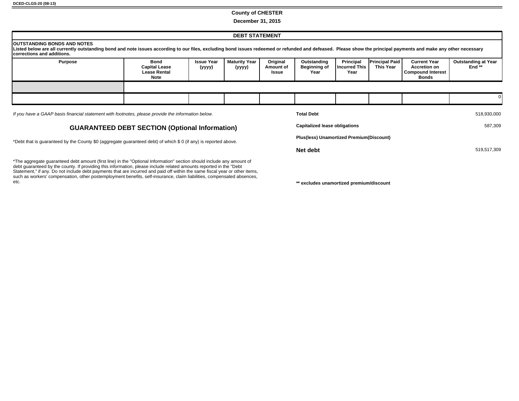#### **County of CHESTER**

**December 31, 2015**

| <b>DEBT STATEMENT</b>                                                                                                                                                                                                                                                                 |                                                             |                             |                                |                                |                                            |                                           |                                    |                                                                                 |                                        |
|---------------------------------------------------------------------------------------------------------------------------------------------------------------------------------------------------------------------------------------------------------------------------------------|-------------------------------------------------------------|-----------------------------|--------------------------------|--------------------------------|--------------------------------------------|-------------------------------------------|------------------------------------|---------------------------------------------------------------------------------|----------------------------------------|
| <b>IOUTSTANDING BONDS AND NOTES</b><br>Listed below are all currently outstanding bond and note issues according to our files, excluding bond issues redeemed or refunded and defeased. Please show the principal payments and make any other necessary<br>corrections and additions. |                                                             |                             |                                |                                |                                            |                                           |                                    |                                                                                 |                                        |
| <b>Purpose</b>                                                                                                                                                                                                                                                                        | Bond<br><b>Capital Lease</b><br><b>Lease Rental</b><br>Note | <b>Issue Year</b><br>(yyyy) | <b>Maturity Year</b><br>(yyyy) | Original<br>Amount of<br>Issue | Outstanding<br><b>Beginning of</b><br>Year | <b>Principal</b><br>Incurred This<br>Year | <b>Principal Paid</b><br>This Year | <b>Current Year</b><br><b>Accretion on</b><br><b>Compound Interest</b><br>Bonds | <b>Outstanding at Year</b><br>End $**$ |
|                                                                                                                                                                                                                                                                                       |                                                             |                             |                                |                                |                                            |                                           |                                    |                                                                                 |                                        |
|                                                                                                                                                                                                                                                                                       |                                                             |                             |                                |                                |                                            |                                           |                                    |                                                                                 |                                        |
| If you have a GAAP basis financial statement with footnotes, please provide the information below.<br><b>Total Debt</b>                                                                                                                                                               |                                                             |                             |                                |                                |                                            | 518,930,000                               |                                    |                                                                                 |                                        |

## **GUARANTEED DEBT SECTION (Optional Information)**

\*Debt that is guaranteed by the County \$0 (aggregate guaranteed debt) of which \$ 0 (if any) is reported above.

\*The aggregate guaranteed debt amount (first line) in the "Optional Information" section should include any amount of debt guaranteed by the county. If providing this information, please include related amounts reported in the "Debt Statement," if any. Do not include debt payments that are incurred and paid off within the same fiscal year or other items, such as workers' compensation, other postemployment benefits, self-insurance, claim liabilities, compensated absences,<br>etc.

| <b>Total Debt</b>                               | 518,930,000 |
|-------------------------------------------------|-------------|
| <b>Capitalized lease obligations</b>            | 587,309     |
| <b>Plus(less) Unamortized Premium(Discount)</b> |             |
| Net debt                                        | 519,517,309 |

\*\* excludes unamortized premium/discount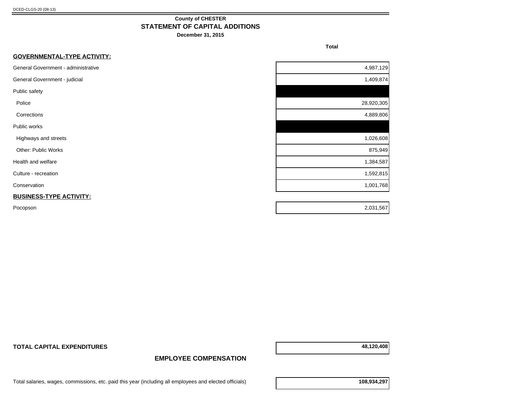## **County of CHESTER STATEMENT OF CAPITAL ADDITIONS**

**December 31, 2015**

**Total** 

| <b>GOVERNMENTAL-TYPE ACTIVITY:</b>  |            |
|-------------------------------------|------------|
| General Government - administrative | 4,987,129  |
| General Government - judicial       | 1,409,874  |
| Public safety                       |            |
| Police                              | 28,920,305 |
| Corrections                         | 4,889,806  |
| Public works                        |            |
| Highways and streets                | 1,026,608  |
| Other: Public Works                 | 875,949    |
| Health and welfare                  | 1,384,587  |
| Culture - recreation                | 1,592,815  |
| Conservation                        | 1,001,768  |
| <b>BUSINESS-TYPE ACTIVITY:</b>      |            |
| Pocopson                            | 2,031,567  |

**TOTAL CAPITAL EXPENDITURES 48,120,408**

## **EMPLOYEE COMPENSATION**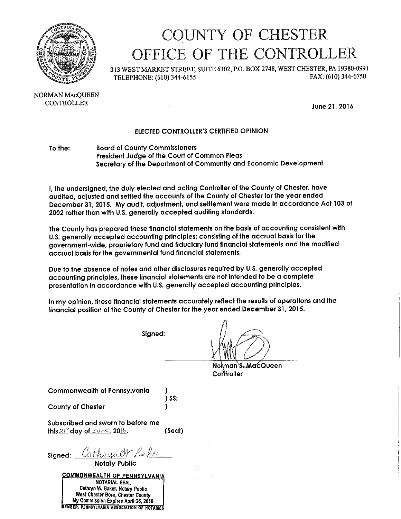

## COUNTY OF CHESTER OFFICE OF THE CONTROLLER

313 WEST MARKET STREET, SUITE 6302, P.O. BOX 2748, WEST CHESTER, PA 19380-0991 FAX: (610) 344-6750 TELEPHONE: (610) 344-6155

NORMAN MACOUEEN **CONTROLLER** 

June 21, 2016

## ELECTED CONTROLLER'S CERTIFIED OPINION

#### To the: **Board of County Commissioners** President Judge of the Court of Common Pleas Secretary of the Department of Community and Economic Development

I, the undersigned, the duly elected and acting Controller of the County of Chester, have audited, adjusted and settled the accounts of the County of Chester for the year ended December 31, 2015. My audit, adjustment, and settlement were made in accordance Act 103 of 2002 rather than with U.S. generally accepted auditing standards.

The County has prepared these financial statements on the basis of accounting consistent with U.S. generally accepted accounting principles; consisting of the accrual basis for the government-wide, proprietary fund and fiduciary fund financial statements and the modified accrual basis for the governmental fund financial statements.

Due to the absence of notes and other disclosures required by U.S. generally accepted accounting principles, these financial statements are not intended to be a complete presentation in accordance with U.S. generally accepted accounting principles.

In my opinion, these financial statements accurately reflect the results of operations and the financial position of the County of Chester for the year ended December 31, 2015.

Signed:

Norman's MacQueen Controller

Commonwealth of Pennsylvania

**County of Chester** 

 $\overline{\phantom{a}}$  SS:

Subscribed and sworn to before me this  $21^{6+}$ day of  $50^{\circ}$   $\sim$  20 $\%$ . (Seal)

Signed: Cathryner Bakes

**COMMONWEALTH OF PENNSYLVANIA** NOTARIAL SEAL Cathryn W. Baker, Notary Public West Chester Boro, Chester County My Commission Expires April 26, 2018 EWBER, PENNSYLVANIA ASSOCIATION OF HOTARIES